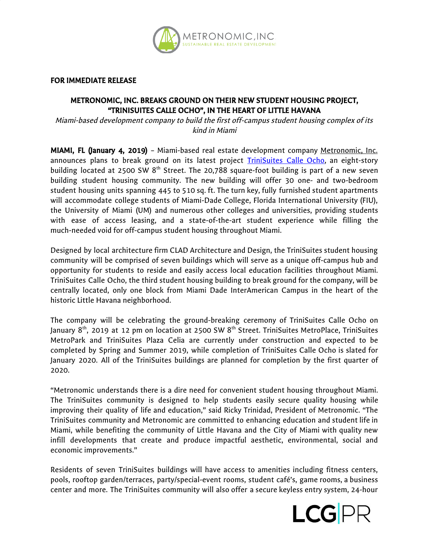

FOR IMMEDIATE RELEASE

## METRONOMIC, INC. BREAKS GROUND ON THEIR NEW STUDENT HOUSING PROJECT, "TRINISUITES CALLE OCHO", IN THE HEART OF LITTLE HAVANA

Miami-based development company to build the first off-campus student housing complex of its kind in Miami

MIAMI, FL (January 4, 2019) - Miami-based real estate development company [Metronomic,](https://www.metronomicinc.com/) Inc. announces plans to break ground on its latest project [TriniSuites](https://www.metronomicinc.com/trinisuites-calle-ocho) Calle Ocho, an eight-story building located at 2500 SW  $8<sup>th</sup>$  Street. The 20,788 square-foot building is part of a new seven building student housing community. The new building will offer 30 one- and two-bedroom student housing units spanning 445 to 510 sq. ft. The turn key, fully furnished student apartments will accommodate college students of Miami-Dade College, Florida International University (FIU), the University of Miami (UM) and numerous other colleges and universities, providing students with ease of access leasing, and a state-of-the-art student experience while filling the much-needed void for off-campus student housing throughout Miami.

Designed by local architecture firm CLAD Architecture and Design, the TriniSuites student housing community will be comprised of seven buildings which will serve as a unique off-campus hub and opportunity for students to reside and easily access local education facilities throughout Miami. TriniSuites Calle Ocho, the third student housing building to break ground for the company, will be centrally located, only one block from Miami Dade InterAmerican Campus in the heart of the historic Little Havana neighborhood.

The company will be celebrating the ground-breaking ceremony of TriniSuites Calle Ocho on January 8<sup>th</sup>, 2019 at 12 pm on location at 2500 SW 8<sup>th</sup> Street. TriniSuites MetroPlace, TriniSuites MetroPark and TriniSuites Plaza Celia are currently under construction and expected to be completed by Spring and Summer 2019, while completion of TriniSuites Calle Ocho is slated for January 2020. All of the TriniSuites buildings are planned for completion by the first quarter of 2020.

"Metronomic understands there is a dire need for convenient student housing throughout Miami. The TriniSuites community is designed to help students easily secure quality housing while improving their quality of life and education," said Ricky Trinidad, President of Metronomic. "The TriniSuites community and Metronomic are committed to enhancing education and student life in Miami, while benefiting the community of Little Havana and the City of Miami with quality new infill developments that create and produce impactful aesthetic, environmental, social and economic improvements."

Residents of seven TriniSuites buildings will have access to amenities including fitness centers, pools, rooftop garden/terraces, party/special-event rooms, student café's, game rooms, a business center and more. The TriniSuites community will also offer a secure keyless entry system, 24-hour